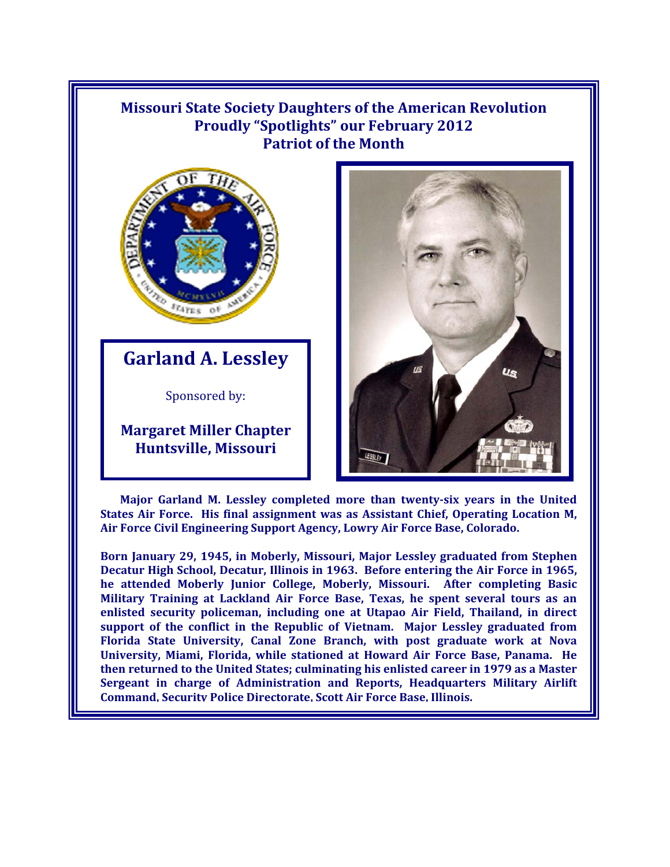## **Missouri State Society Daughters of the American Revolution Proudly "Spotlights" our February 2012 Patriot of the Month**



**Garland A. Lessley**

Sponsored by:

**Margaret Miller Chapter Huntsville, Missouri** 



**Major Garland M. Lessley completed more than twenty-six years in the United States Air Force. His final assignment was as Assistant Chief, Operating Location M, Air Force Civil Engineering Support Agency, Lowry Air Force Base, Colorado.** 

**Born January 29, 1945, in Moberly, Missouri, Major Lessley graduated from Stephen Decatur High School, Decatur, Illinois in 1963. Before entering the Air Force in 1965, he attended Moberly Junior College, Moberly, Missouri. After completing Basic Military Training at Lackland Air Force Base, Texas, he spent several tours as an enlisted security policeman, including one at Utapao Air Field, Thailand, in direct support of the conflict in the Republic of Vietnam. Major Lessley graduated from Florida State University, Canal Zone Branch, with post graduate work at Nova University, Miami, Florida, while stationed at Howard Air Force Base, Panama. He then returned to the United States; culminating his enlisted career in 1979 as a Master Sergeant in charge of Administration and Reports, Headquarters Military Airlift Command, Security Police Directorate, Scott Air Force Base, Illinois.**